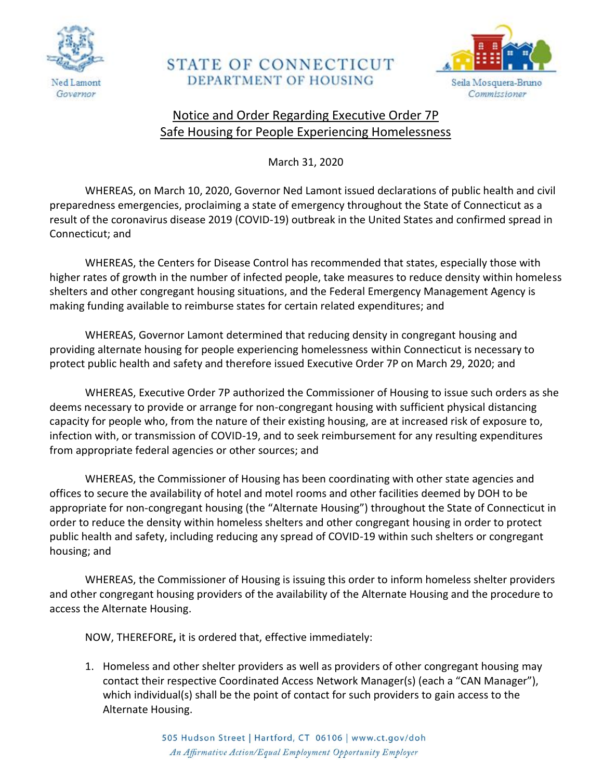

## **STATE OF CONNECTICUT** DEPARTMENT OF HOUSING



## Notice and Order Regarding Executive Order 7P Safe Housing for People Experiencing Homelessness

March 31, 2020

WHEREAS, on March 10, 2020, Governor Ned Lamont issued declarations of public health and civil preparedness emergencies, proclaiming a state of emergency throughout the State of Connecticut as a result of the coronavirus disease 2019 (COVID-19) outbreak in the United States and confirmed spread in Connecticut; and

WHEREAS, the Centers for Disease Control has recommended that states, especially those with higher rates of growth in the number of infected people, take measures to reduce density within homeless shelters and other congregant housing situations, and the Federal Emergency Management Agency is making funding available to reimburse states for certain related expenditures; and

WHEREAS, Governor Lamont determined that reducing density in congregant housing and providing alternate housing for people experiencing homelessness within Connecticut is necessary to protect public health and safety and therefore issued Executive Order 7P on March 29, 2020; and

WHEREAS, Executive Order 7P authorized the Commissioner of Housing to issue such orders as she deems necessary to provide or arrange for non-congregant housing with sufficient physical distancing capacity for people who, from the nature of their existing housing, are at increased risk of exposure to, infection with, or transmission of COVID-19, and to seek reimbursement for any resulting expenditures from appropriate federal agencies or other sources; and

WHEREAS, the Commissioner of Housing has been coordinating with other state agencies and offices to secure the availability of hotel and motel rooms and other facilities deemed by DOH to be appropriate for non-congregant housing (the "Alternate Housing") throughout the State of Connecticut in order to reduce the density within homeless shelters and other congregant housing in order to protect public health and safety, including reducing any spread of COVID-19 within such shelters or congregant housing; and

WHEREAS, the Commissioner of Housing is issuing this order to inform homeless shelter providers and other congregant housing providers of the availability of the Alternate Housing and the procedure to access the Alternate Housing.

NOW, THEREFORE**,** it is ordered that, effective immediately:

1. Homeless and other shelter providers as well as providers of other congregant housing may contact their respective Coordinated Access Network Manager(s) (each a "CAN Manager"), which individual(s) shall be the point of contact for such providers to gain access to the Alternate Housing.